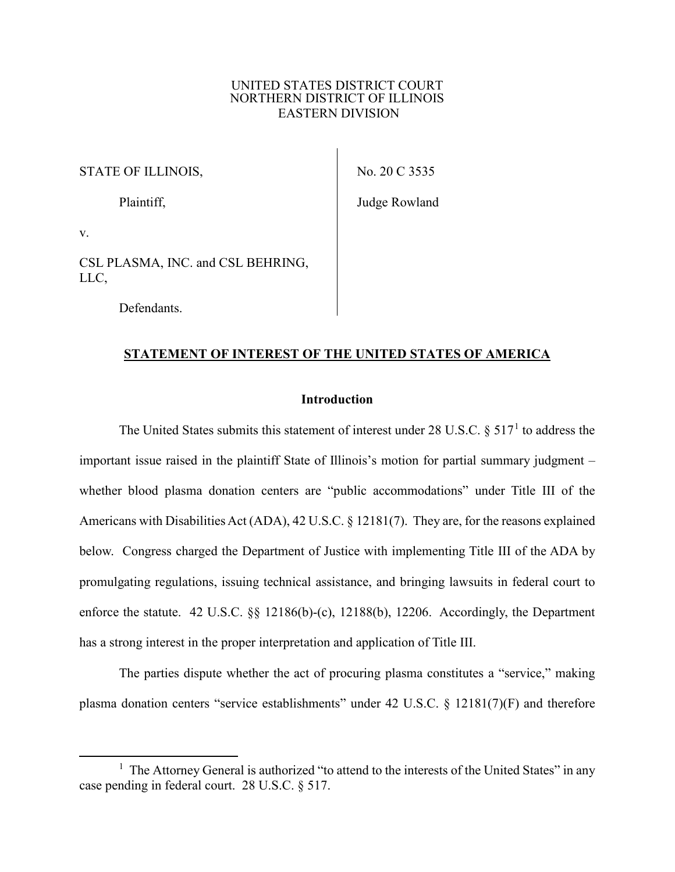### UNITED STATES DISTRICT COURT NORTHERN DISTRICT OF ILLINOIS EASTERN DIVISION

### STATE OF ILLINOIS,

Plaintiff,

No. 20 C 3535

Judge Rowland

v.

CSL PLASMA, INC. and CSL BEHRING, LLC,

Defendants.

# **STATEMENT OF INTEREST OF THE UNITED STATES OF AMERICA**

## **Introduction**

The United States submits this statement of interest under 28 U.S.C.  $\S 517<sup>1</sup>$  $\S 517<sup>1</sup>$  $\S 517<sup>1</sup>$  to address the important issue raised in the plaintiff State of Illinois's motion for partial summary judgment – whether blood plasma donation centers are "public accommodations" under Title III of the Americans with Disabilities Act (ADA), 42 U.S.C. § 12181(7). They are, for the reasons explained below. Congress charged the Department of Justice with implementing Title III of the ADA by promulgating regulations, issuing technical assistance, and bringing lawsuits in federal court to enforce the statute. 42 U.S.C. §§ 12186(b)-(c), 12188(b), 12206. Accordingly, the Department has a strong interest in the proper interpretation and application of Title III.

The parties dispute whether the act of procuring plasma constitutes a "service," making plasma donation centers "service establishments" under 42 U.S.C.  $\S$  12181(7)(F) and therefore

<span id="page-0-0"></span><sup>&</sup>lt;u>1</u>  $<sup>1</sup>$  The Attorney General is authorized "to attend to the interests of the United States" in any</sup> case pending in federal court. 28 U.S.C. § 517.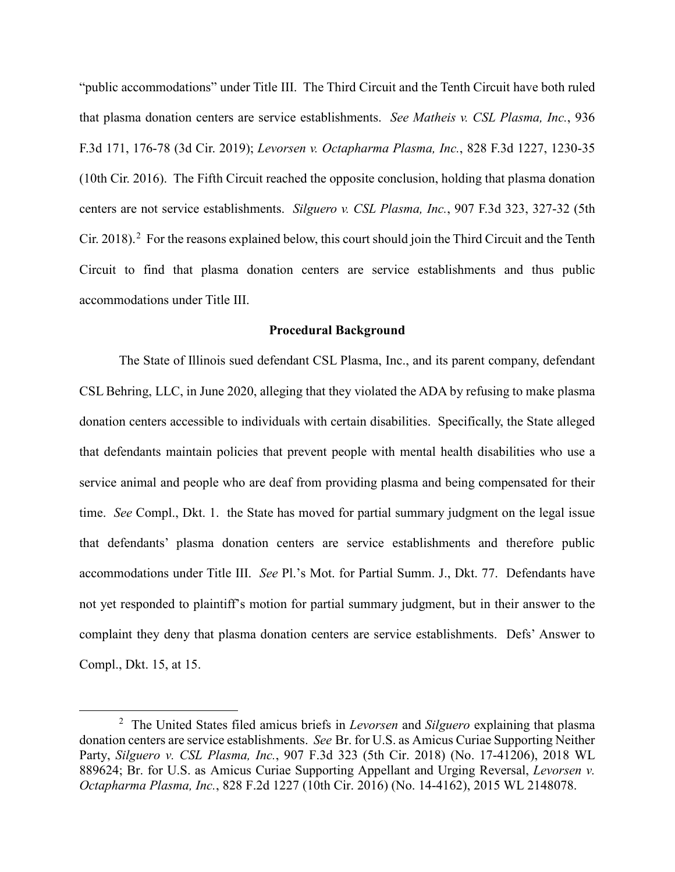"public accommodations" under Title III. The Third Circuit and the Tenth Circuit have both ruled that plasma donation centers are service establishments. *See Matheis v. CSL Plasma, Inc.*, 936 F.3d 171, 176-78 (3d Cir. 2019); *Levorsen v. Octapharma Plasma, Inc.*, 828 F.3d 1227, 1230-35 (10th Cir. 2016). The Fifth Circuit reached the opposite conclusion, holding that plasma donation centers are not service establishments. *Silguero v. CSL Plasma, Inc.*, 907 F.3d 323, 327-32 (5th Cir. [2](#page-1-0)018).<sup>2</sup> For the reasons explained below, this court should join the Third Circuit and the Tenth Circuit to find that plasma donation centers are service establishments and thus public accommodations under Title III.

### **Procedural Background**

The State of Illinois sued defendant CSL Plasma, Inc., and its parent company, defendant CSL Behring, LLC, in June 2020, alleging that they violated the ADA by refusing to make plasma donation centers accessible to individuals with certain disabilities. Specifically, the State alleged that defendants maintain policies that prevent people with mental health disabilities who use a service animal and people who are deaf from providing plasma and being compensated for their time. *See* Compl., Dkt. 1. the State has moved for partial summary judgment on the legal issue that defendants' plasma donation centers are service establishments and therefore public accommodations under Title III. *See* Pl.'s Mot. for Partial Summ. J., Dkt. 77. Defendants have not yet responded to plaintiff's motion for partial summary judgment, but in their answer to the complaint they deny that plasma donation centers are service establishments. Defs' Answer to Compl., Dkt. 15, at 15.

<span id="page-1-0"></span> $\overline{\phantom{2}}$  The United States filed amicus briefs in *Levorsen* and *Silguero* explaining that plasma donation centers are service establishments. *See* Br. for U.S. as Amicus Curiae Supporting Neither Party, *Silguero v. CSL Plasma, Inc.*, 907 F.3d 323 (5th Cir. 2018) (No. 17-41206), 2018 WL 889624; Br. for U.S. as Amicus Curiae Supporting Appellant and Urging Reversal, *Levorsen v. Octapharma Plasma, Inc.*, 828 F.2d 1227 (10th Cir. 2016) (No. 14-4162), 2015 WL 2148078.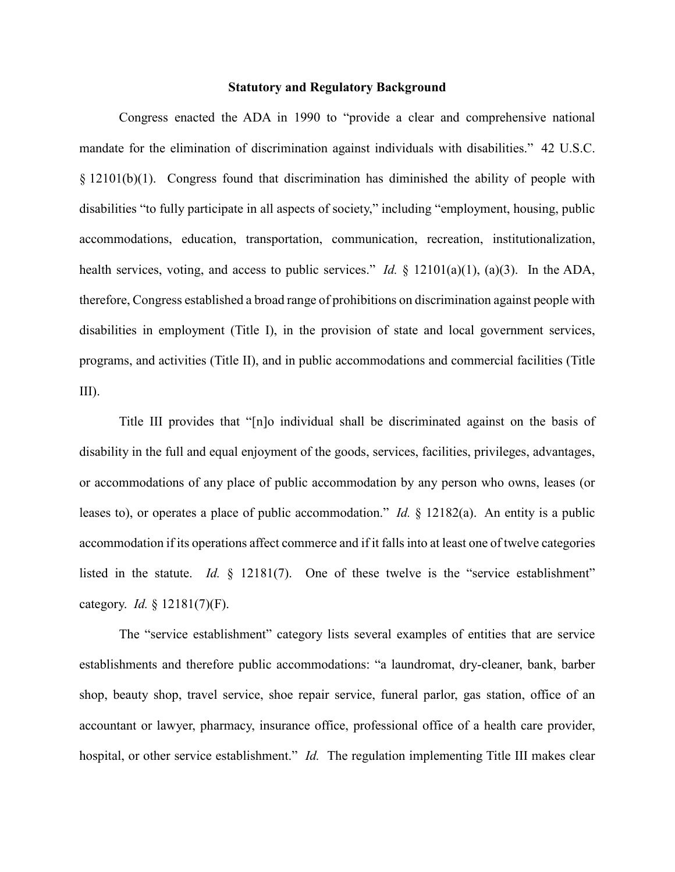#### **Statutory and Regulatory Background**

Congress enacted the ADA in 1990 to "provide a clear and comprehensive national mandate for the elimination of discrimination against individuals with disabilities." 42 U.S.C. § 12101(b)(1). Congress found that discrimination has diminished the ability of people with disabilities "to fully participate in all aspects of society," including "employment, housing, public accommodations, education, transportation, communication, recreation, institutionalization, health services, voting, and access to public services." *Id.* § 12101(a)(1), (a)(3). In the ADA, therefore, Congress established a broad range of prohibitions on discrimination against people with disabilities in employment (Title I), in the provision of state and local government services, programs, and activities (Title II), and in public accommodations and commercial facilities (Title III).

Title III provides that "[n]o individual shall be discriminated against on the basis of disability in the full and equal enjoyment of the goods, services, facilities, privileges, advantages, or accommodations of any place of public accommodation by any person who owns, leases (or leases to), or operates a place of public accommodation." *Id.* § 12182(a). An entity is a public accommodation if its operations affect commerce and if it falls into at least one of twelve categories listed in the statute. *Id.* § 12181(7). One of these twelve is the "service establishment" category. *Id.* § 12181(7)(F).

The "service establishment" category lists several examples of entities that are service establishments and therefore public accommodations: "a laundromat, dry-cleaner, bank, barber shop, beauty shop, travel service, shoe repair service, funeral parlor, gas station, office of an accountant or lawyer, pharmacy, insurance office, professional office of a health care provider, hospital, or other service establishment." *Id.* The regulation implementing Title III makes clear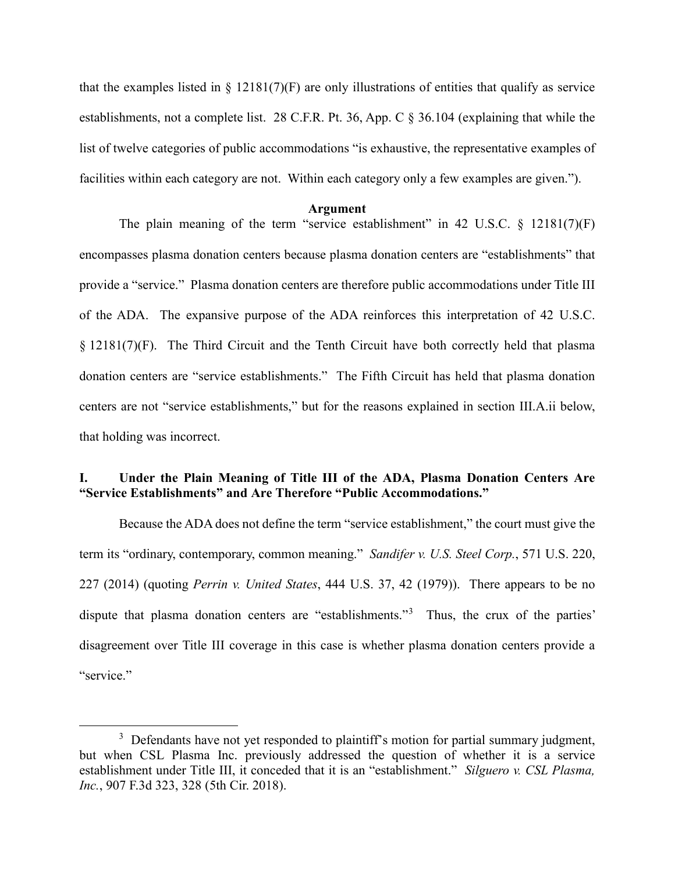that the examples listed in  $\S$  12181(7)(F) are only illustrations of entities that qualify as service establishments, not a complete list. 28 C.F.R. Pt. 36, App. C § 36.104 (explaining that while the list of twelve categories of public accommodations "is exhaustive, the representative examples of facilities within each category are not. Within each category only a few examples are given.").

#### **Argument**

The plain meaning of the term "service establishment" in 42 U.S.C.  $\S$  12181(7)(F) encompasses plasma donation centers because plasma donation centers are "establishments" that provide a "service." Plasma donation centers are therefore public accommodations under Title III of the ADA. The expansive purpose of the ADA reinforces this interpretation of 42 U.S.C. § 12181(7)(F). The Third Circuit and the Tenth Circuit have both correctly held that plasma donation centers are "service establishments." The Fifth Circuit has held that plasma donation centers are not "service establishments," but for the reasons explained in section III.A.ii below, that holding was incorrect.

# **I. Under the Plain Meaning of Title III of the ADA, Plasma Donation Centers Are "Service Establishments" and Are Therefore "Public Accommodations."**

Because the ADA does not define the term "service establishment," the court must give the term its "ordinary, contemporary, common meaning." *Sandifer v. U.S. Steel Corp.*, 571 U.S. 220, 227 (2014) (quoting *Perrin v. United States*, 444 U.S. 37, 42 (1979)). There appears to be no dispute that plasma donation centers are "establishments."<sup>[3](#page-3-0)</sup> Thus, the crux of the parties' disagreement over Title III coverage in this case is whether plasma donation centers provide a "service."

<span id="page-3-0"></span> $\frac{1}{3}$  $3$  Defendants have not yet responded to plaintiff's motion for partial summary judgment, but when CSL Plasma Inc. previously addressed the question of whether it is a service establishment under Title III, it conceded that it is an "establishment." *Silguero v. CSL Plasma, Inc.*, 907 F.3d 323, 328 (5th Cir. 2018).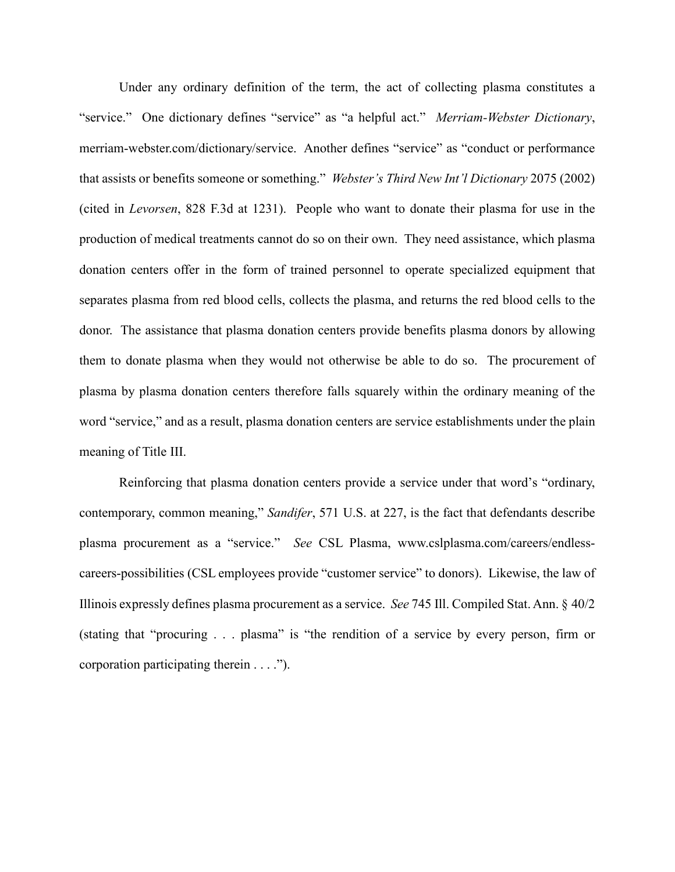Under any ordinary definition of the term, the act of collecting plasma constitutes a "service." One dictionary defines "service" as "a helpful act." *Merriam-Webster Dictionary*, merriam-webster.com/dictionary/service. Another defines "service" as "conduct or performance that assists or benefits someone or something." *Webster's Third New Int'l Dictionary* 2075 (2002) (cited in *Levorsen*, 828 F.3d at 1231). People who want to donate their plasma for use in the production of medical treatments cannot do so on their own. They need assistance, which plasma donation centers offer in the form of trained personnel to operate specialized equipment that separates plasma from red blood cells, collects the plasma, and returns the red blood cells to the donor. The assistance that plasma donation centers provide benefits plasma donors by allowing them to donate plasma when they would not otherwise be able to do so. The procurement of plasma by plasma donation centers therefore falls squarely within the ordinary meaning of the word "service," and as a result, plasma donation centers are service establishments under the plain meaning of Title III.

Reinforcing that plasma donation centers provide a service under that word's "ordinary, contemporary, common meaning," *Sandifer*, 571 U.S. at 227, is the fact that defendants describe plasma procurement as a "service." *See* CSL Plasma, www.cslplasma.com/careers/endlesscareers-possibilities (CSL employees provide "customer service" to donors). Likewise, the law of Illinois expressly defines plasma procurement as a service. *See* 745 Ill. Compiled Stat. Ann. § 40/2 (stating that "procuring . . . plasma" is "the rendition of a service by every person, firm or corporation participating therein . . . .").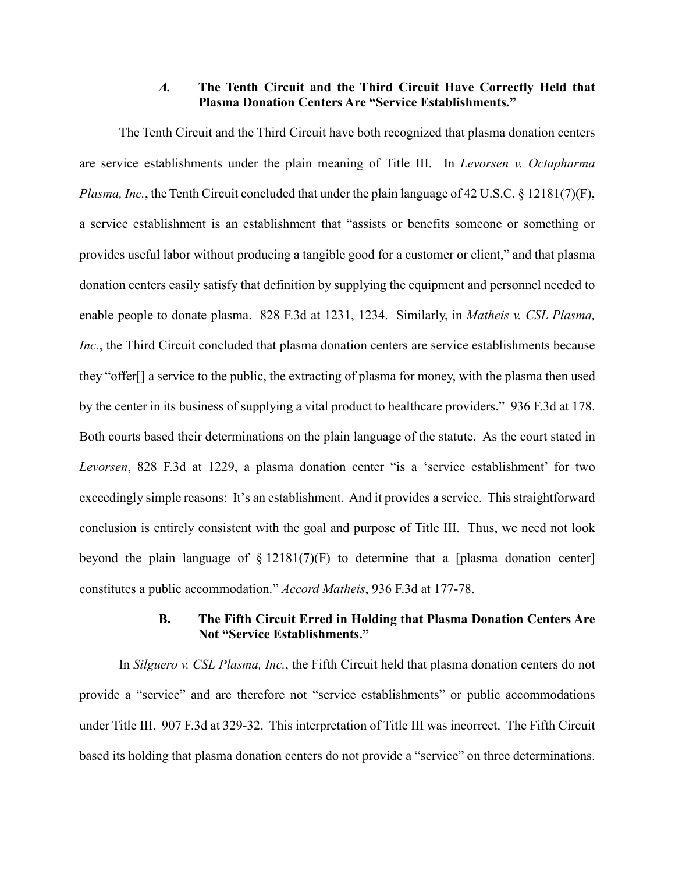# *A.* **The Tenth Circuit and the Third Circuit Have Correctly Held that Plasma Donation Centers Are "Service Establishments."**

The Tenth Circuit and the Third Circuit have both recognized that plasma donation centers are service establishments under the plain meaning of Title III. In *Levorsen v. Octapharma Plasma, Inc.*, the Tenth Circuit concluded that under the plain language of 42 U.S.C. § 12181(7)(F), a service establishment is an establishment that "assists or benefits someone or something or provides useful labor without producing a tangible good for a customer or client," and that plasma donation centers easily satisfy that definition by supplying the equipment and personnel needed to enable people to donate plasma. 828 F.3d at 1231, 1234. Similarly, in *Matheis v. CSL Plasma, Inc.*, the Third Circuit concluded that plasma donation centers are service establishments because they "offer[] a service to the public, the extracting of plasma for money, with the plasma then used by the center in its business of supplying a vital product to healthcare providers." 936 F.3d at 178. Both courts based their determinations on the plain language of the statute. As the court stated in *Levorsen*, 828 F.3d at 1229, a plasma donation center "is a 'service establishment' for two exceedingly simple reasons: It's an establishment. And it provides a service. This straightforward conclusion is entirely consistent with the goal and purpose of Title III. Thus, we need not look beyond the plain language of  $\S$  12181(7)(F) to determine that a [plasma donation center] constitutes a public accommodation." *Accord Matheis*, 936 F.3d at 177-78.

### **B. The Fifth Circuit Erred in Holding that Plasma Donation Centers Are Not "Service Establishments."**

In *Silguero v. CSL Plasma, Inc.*, the Fifth Circuit held that plasma donation centers do not provide a "service" and are therefore not "service establishments" or public accommodations under Title III. 907 F.3d at 329-32. This interpretation of Title III was incorrect. The Fifth Circuit based its holding that plasma donation centers do not provide a "service" on three determinations.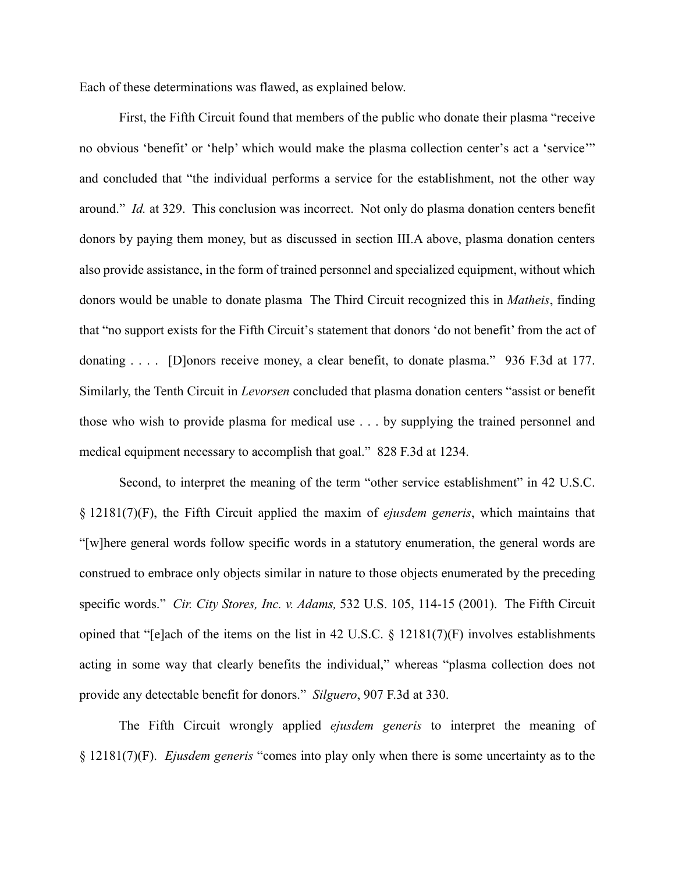Each of these determinations was flawed, as explained below.

First, the Fifth Circuit found that members of the public who donate their plasma "receive no obvious 'benefit' or 'help' which would make the plasma collection center's act a 'service'" and concluded that "the individual performs a service for the establishment, not the other way around." *Id.* at 329. This conclusion was incorrect. Not only do plasma donation centers benefit donors by paying them money, but as discussed in section III.A above, plasma donation centers also provide assistance, in the form of trained personnel and specialized equipment, without which donors would be unable to donate plasma The Third Circuit recognized this in *Matheis*, finding that "no support exists for the Fifth Circuit's statement that donors 'do not benefit' from the act of donating . . . . [D]onors receive money, a clear benefit, to donate plasma." 936 F.3d at 177. Similarly, the Tenth Circuit in *Levorsen* concluded that plasma donation centers "assist or benefit those who wish to provide plasma for medical use . . . by supplying the trained personnel and medical equipment necessary to accomplish that goal." 828 F.3d at 1234.

Second, to interpret the meaning of the term "other service establishment" in 42 U.S.C. § 12181(7)(F), the Fifth Circuit applied the maxim of *ejusdem generis*, which maintains that "[w]here general words follow specific words in a statutory enumeration, the general words are construed to embrace only objects similar in nature to those objects enumerated by the preceding specific words." *Cir. City Stores, Inc. v. Adams,* 532 U.S. 105, 114-15 (2001). The Fifth Circuit opined that "[e]ach of the items on the list in 42 U.S.C. § 12181(7)(F) involves establishments acting in some way that clearly benefits the individual," whereas "plasma collection does not provide any detectable benefit for donors." *Silguero*, 907 F.3d at 330.

The Fifth Circuit wrongly applied *ejusdem generis* to interpret the meaning of § 12181(7)(F). *Ejusdem generis* "comes into play only when there is some uncertainty as to the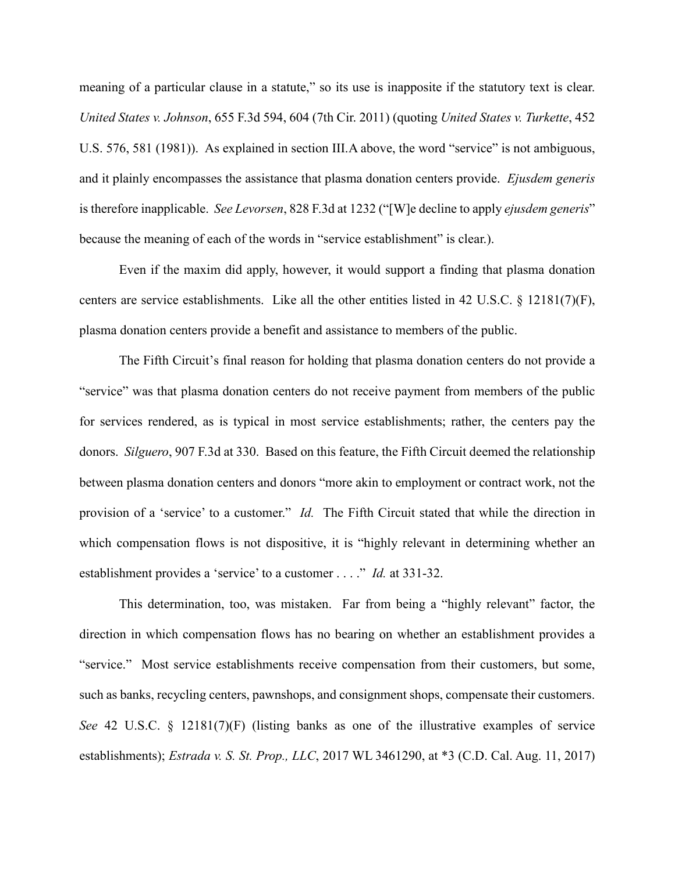meaning of a particular clause in a statute," so its use is inapposite if the statutory text is clear. *United States v. Johnson*, 655 F.3d 594, 604 (7th Cir. 2011) (quoting *United States v. Turkette*, 452 U.S. 576, 581 (1981)). As explained in section III.A above, the word "service" is not ambiguous, and it plainly encompasses the assistance that plasma donation centers provide. *Ejusdem generis* is therefore inapplicable. *See Levorsen*, 828 F.3d at 1232 ("[W]e decline to apply *ejusdem generis*" because the meaning of each of the words in "service establishment" is clear.).

Even if the maxim did apply, however, it would support a finding that plasma donation centers are service establishments. Like all the other entities listed in 42 U.S.C. § 12181(7)(F), plasma donation centers provide a benefit and assistance to members of the public.

The Fifth Circuit's final reason for holding that plasma donation centers do not provide a "service" was that plasma donation centers do not receive payment from members of the public for services rendered, as is typical in most service establishments; rather, the centers pay the donors. *Silguero*, 907 F.3d at 330. Based on this feature, the Fifth Circuit deemed the relationship between plasma donation centers and donors "more akin to employment or contract work, not the provision of a 'service' to a customer." *Id.* The Fifth Circuit stated that while the direction in which compensation flows is not dispositive, it is "highly relevant in determining whether an establishment provides a 'service' to a customer . . . ." *Id.* at 331-32.

This determination, too, was mistaken. Far from being a "highly relevant" factor, the direction in which compensation flows has no bearing on whether an establishment provides a "service." Most service establishments receive compensation from their customers, but some, such as banks, recycling centers, pawnshops, and consignment shops, compensate their customers. *See* 42 U.S.C. § 12181(7)(F) (listing banks as one of the illustrative examples of service establishments); *Estrada v. S. St. Prop., LLC*, 2017 WL 3461290, at \*3 (C.D. Cal. Aug. 11, 2017)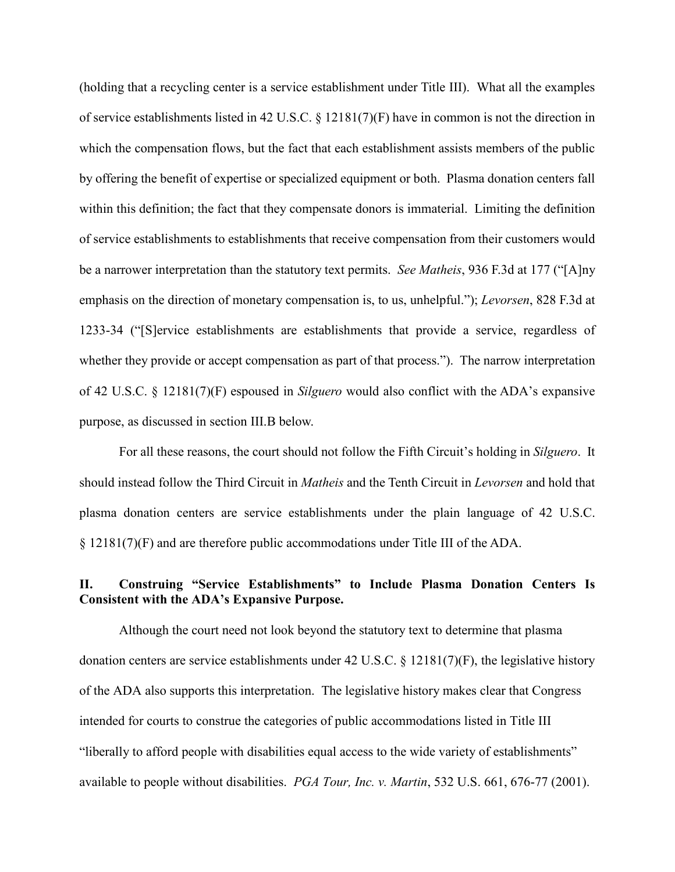(holding that a recycling center is a service establishment under Title III). What all the examples of service establishments listed in 42 U.S.C. § 12181(7)(F) have in common is not the direction in which the compensation flows, but the fact that each establishment assists members of the public by offering the benefit of expertise or specialized equipment or both. Plasma donation centers fall within this definition; the fact that they compensate donors is immaterial. Limiting the definition of service establishments to establishments that receive compensation from their customers would be a narrower interpretation than the statutory text permits. *See Matheis*, 936 F.3d at 177 ("[A]ny emphasis on the direction of monetary compensation is, to us, unhelpful."); *Levorsen*, 828 F.3d at 1233-34 ("[S]ervice establishments are establishments that provide a service, regardless of whether they provide or accept compensation as part of that process."). The narrow interpretation of 42 U.S.C. § 12181(7)(F) espoused in *Silguero* would also conflict with the ADA's expansive purpose, as discussed in section III.B below.

For all these reasons, the court should not follow the Fifth Circuit's holding in *Silguero*. It should instead follow the Third Circuit in *Matheis* and the Tenth Circuit in *Levorsen* and hold that plasma donation centers are service establishments under the plain language of 42 U.S.C. § 12181(7)(F) and are therefore public accommodations under Title III of the ADA.

# **II. Construing "Service Establishments" to Include Plasma Donation Centers Is Consistent with the ADA's Expansive Purpose.**

Although the court need not look beyond the statutory text to determine that plasma donation centers are service establishments under 42 U.S.C. § 12181(7)(F), the legislative history of the ADA also supports this interpretation. The legislative history makes clear that Congress intended for courts to construe the categories of public accommodations listed in Title III "liberally to afford people with disabilities equal access to the wide variety of establishments" available to people without disabilities. *PGA Tour, Inc. v. Martin*, 532 U.S. 661, 676-77 (2001).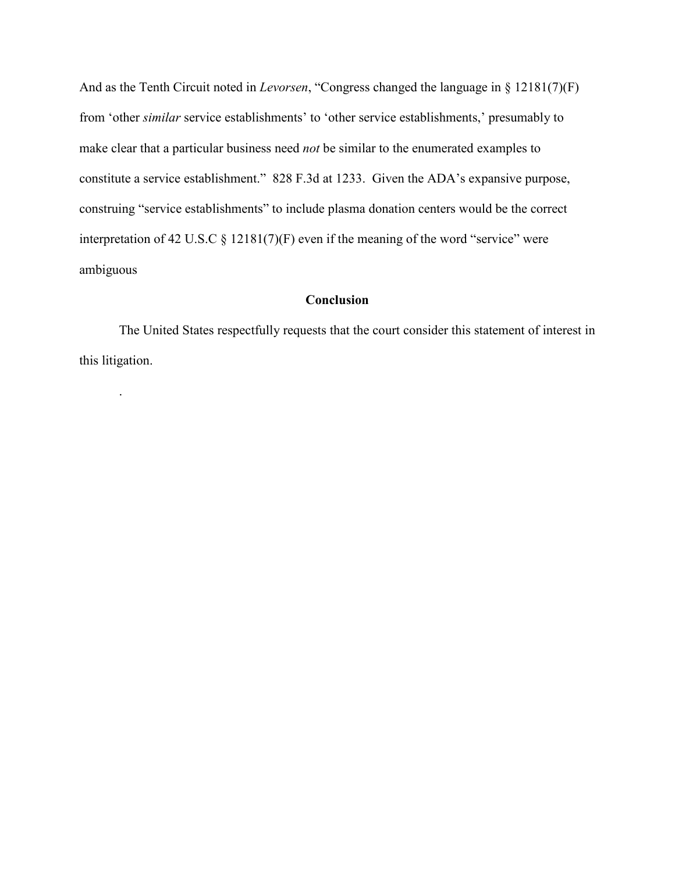And as the Tenth Circuit noted in *Levorsen*, "Congress changed the language in § 12181(7)(F) from 'other *similar* service establishments' to 'other service establishments,' presumably to make clear that a particular business need *not* be similar to the enumerated examples to constitute a service establishment." 828 F.3d at 1233. Given the ADA's expansive purpose, construing "service establishments" to include plasma donation centers would be the correct interpretation of 42 U.S.C  $\S$  12181(7)(F) even if the meaning of the word "service" were ambiguous

# **Conclusion**

The United States respectfully requests that the court consider this statement of interest in this litigation.

.